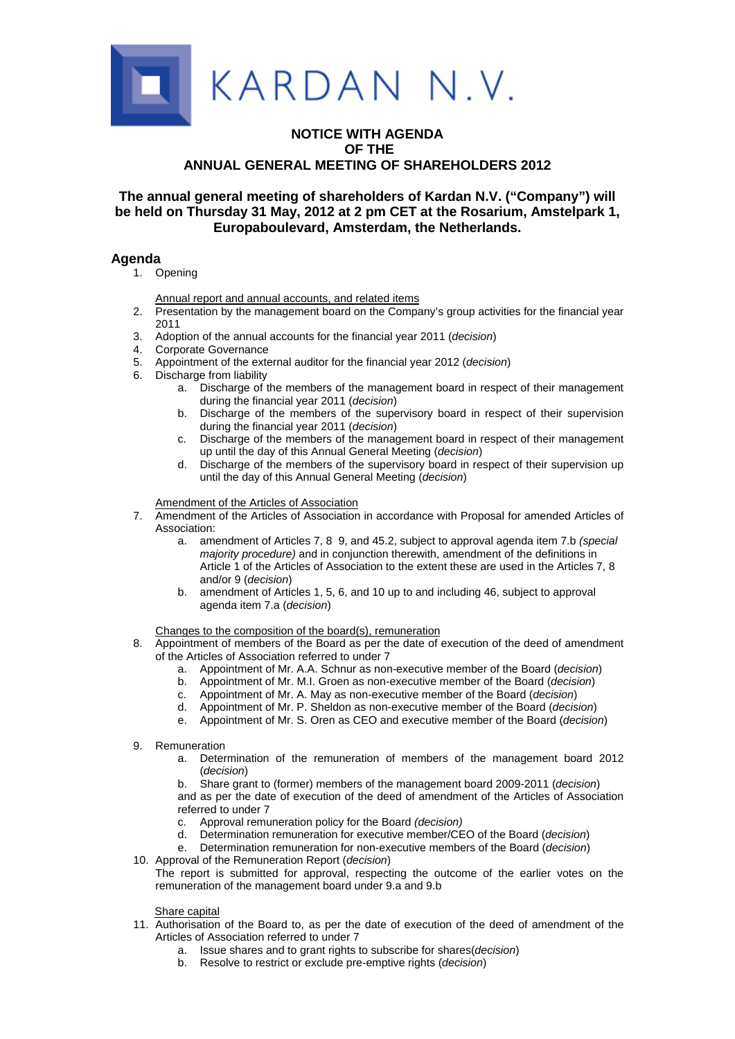

# **NOTICE WITH AGENDA OF THE ANNUAL GENERAL MEETING OF SHAREHOLDERS 2012**

# **The annual general meeting of shareholders of Kardan N.V. ("Company") will be held on Thursday 31 May, 2012 at 2 pm CET at the Rosarium, Amstelpark 1, Europaboulevard, Amsterdam, the Netherlands.**

# **Agenda**

1. Opening

Annual report and annual accounts, and related items

- 2. Presentation by the management board on the Company's group activities for the financial year 2011
- 3. Adoption of the annual accounts for the financial year 2011 (*decision*)
- 4. Corporate Governance
- 5. Appointment of the external auditor for the financial year 2012 (*decision*)
- 6. Discharge from liability
	- a. Discharge of the members of the management board in respect of their management during the financial year 2011 (*decision*)
	- b. Discharge of the members of the supervisory board in respect of their supervision during the financial year 2011 (*decision*)
	- c. Discharge of the members of the management board in respect of their management up until the day of this Annual General Meeting (*decision*)
	- d. Discharge of the members of the supervisory board in respect of their supervision up until the day of this Annual General Meeting (*decision*)

Amendment of the Articles of Association

- 7. Amendment of the Articles of Association in accordance with Proposal for amended Articles of Association:
	- a. amendment of Articles 7, 8 9, and 45.2, subject to approval agenda item 7.b *(special majority procedure)* and in conjunction therewith, amendment of the definitions in Article 1 of the Articles of Association to the extent these are used in the Articles 7, 8 and/or 9 (*decision*)
	- b. amendment of Articles 1, 5, 6, and 10 up to and including 46, subject to approval agenda item 7.a (*decision*)

Changes to the composition of the board(s), remuneration

- 8. Appointment of members of the Board as per the date of execution of the deed of amendment of the Articles of Association referred to under 7
	- a. Appointment of Mr. A.A. Schnur as non-executive member of the Board (*decision*)
	- b. Appointment of Mr. M.I. Groen as non-executive member of the Board (*decision*)
	- c. Appointment of Mr. A. May as non-executive member of the Board (*decision*)
	- d. Appointment of Mr. P. Sheldon as non-executive member of the Board (*decision*)
	- e. Appointment of Mr. S. Oren as CEO and executive member of the Board (*decision*)
- 9. Remuneration
	- a. Determination of the remuneration of members of the management board 2012 (*decision*)
	- b. Share grant to (former) members of the management board 2009-2011 (*decision*) and as per the date of execution of the deed of amendment of the Articles of Association referred to under 7
	- c. Approval remuneration policy for the Board *(decision)*
	- d. Determination remuneration for executive member/CEO of the Board (*decision*)
	- e. Determination remuneration for non-executive members of the Board (*decision*)
- 10. Approval of the Remuneration Report (*decision*)
- The report is submitted for approval, respecting the outcome of the earlier votes on the remuneration of the management board under 9.a and 9.b

Share capital

- 11. Authorisation of the Board to, as per the date of execution of the deed of amendment of the Articles of Association referred to under 7
	- a. Issue shares and to grant rights to subscribe for shares(*decision*)
	- b. Resolve to restrict or exclude pre-emptive rights (*decision*)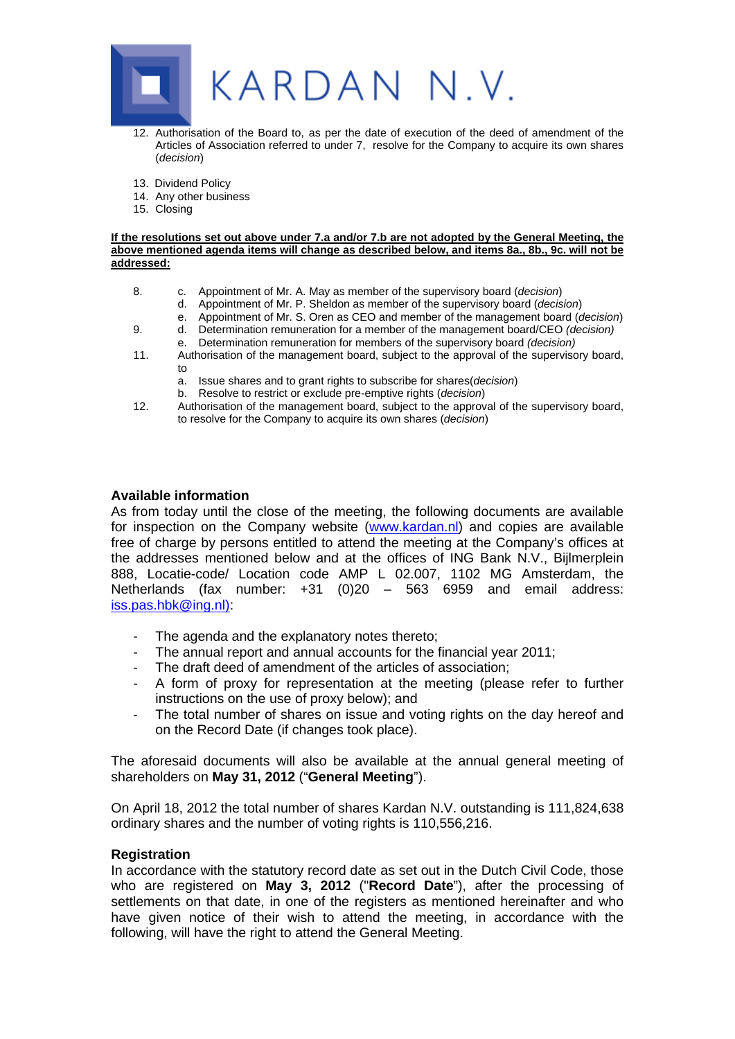

- 12. Authorisation of the Board to, as per the date of execution of the deed of amendment of the Articles of Association referred to under 7, resolve for the Company to acquire its own shares (*decision*)
- 13. Dividend Policy
- 14. Any other business
- 15. Closing

#### **If the resolutions set out above under 7.a and/or 7.b are not adopted by the General Meeting, the above mentioned agenda items will change as described below, and items 8a., 8b., 9c. will not be addressed:**

- 8. c. Appointment of Mr. A. May as member of the supervisory board (*decision*)
	- d. Appointment of Mr. P. Sheldon as member of the supervisory board (*decision*)
	- e. Appointment of Mr. S. Oren as CEO and member of the management board (*decision*)
- 9. d. Determination remuneration for a member of the management board/CEO *(decision)*
- e. Determination remuneration for members of the supervisory board *(decision)* 11. Authorisation of the management board, subject to the approval of the supervisory board, to
	- a. Issue shares and to grant rights to subscribe for shares(*decision*)
	- b. Resolve to restrict or exclude pre-emptive rights (*decision*)
- 12. Authorisation of the management board, subject to the approval of the supervisory board, to resolve for the Company to acquire its own shares (*decision*)

# **Available information**

As from today until the close of the meeting, the following documents are available for inspection on the Company website (www.kardan.nl) and copies are available free of charge by persons entitled to attend the meeting at the Company's offices at the addresses mentioned below and at the offices of ING Bank N.V., Bijlmerplein 888, Locatie-code/ Location code AMP L 02.007, 1102 MG Amsterdam, the Netherlands (fax number: +31 (0)20 – 563 6959 and email address: iss.pas.hbk@ing.nl):

- The agenda and the explanatory notes thereto;
- The annual report and annual accounts for the financial year 2011;
- The draft deed of amendment of the articles of association;
- A form of proxy for representation at the meeting (please refer to further instructions on the use of proxy below); and
- The total number of shares on issue and voting rights on the day hereof and on the Record Date (if changes took place).

The aforesaid documents will also be available at the annual general meeting of shareholders on **May 31, 2012** ("**General Meeting**").

On April 18, 2012 the total number of shares Kardan N.V. outstanding is 111,824,638 ordinary shares and the number of voting rights is 110,556,216.

# **Registration**

In accordance with the statutory record date as set out in the Dutch Civil Code, those who are registered on **May 3, 2012** ("**Record Date**"), after the processing of settlements on that date, in one of the registers as mentioned hereinafter and who have given notice of their wish to attend the meeting, in accordance with the following, will have the right to attend the General Meeting.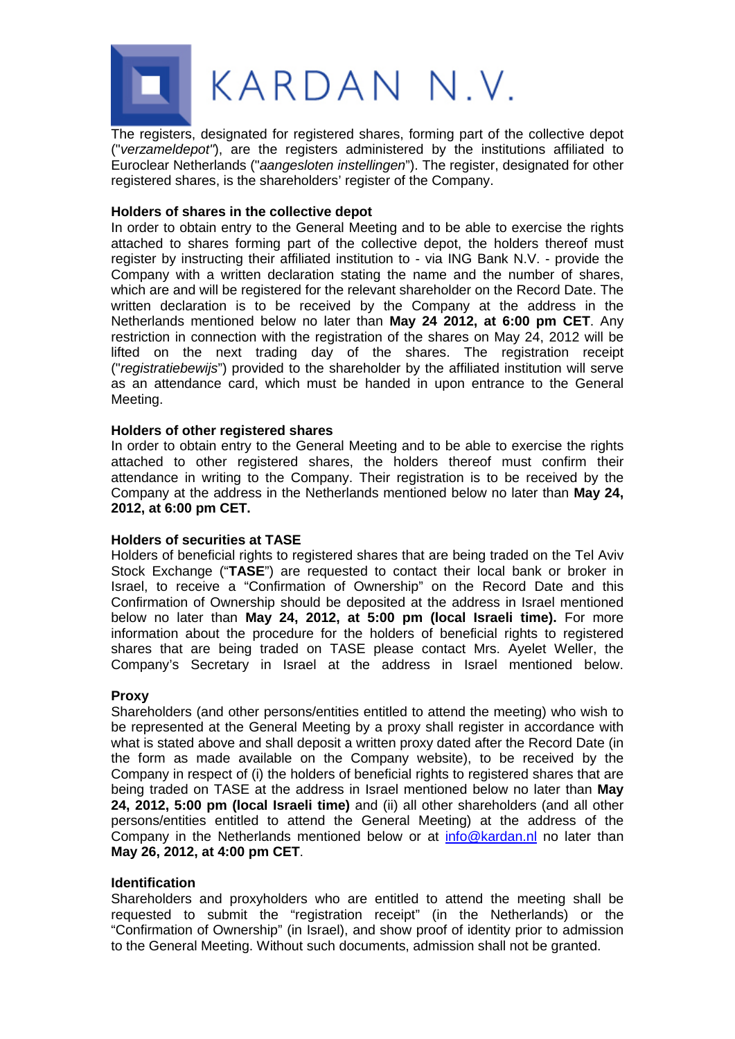

The registers, designated for registered shares, forming part of the collective depot ("*verzameldepot"*), are the registers administered by the institutions affiliated to Euroclear Netherlands ("*aangesloten instellingen*"). The register, designated for other registered shares, is the shareholders' register of the Company.

# **Holders of shares in the collective depot**

In order to obtain entry to the General Meeting and to be able to exercise the rights attached to shares forming part of the collective depot, the holders thereof must register by instructing their affiliated institution to - via ING Bank N.V. - provide the Company with a written declaration stating the name and the number of shares, which are and will be registered for the relevant shareholder on the Record Date. The written declaration is to be received by the Company at the address in the Netherlands mentioned below no later than **May 24 2012, at 6:00 pm CET**. Any restriction in connection with the registration of the shares on May 24, 2012 will be lifted on the next trading day of the shares. The registration receipt ("*registratiebewijs*") provided to the shareholder by the affiliated institution will serve as an attendance card, which must be handed in upon entrance to the General Meeting.

# **Holders of other registered shares**

In order to obtain entry to the General Meeting and to be able to exercise the rights attached to other registered shares, the holders thereof must confirm their attendance in writing to the Company. Their registration is to be received by the Company at the address in the Netherlands mentioned below no later than **May 24, 2012, at 6:00 pm CET.**

# **Holders of securities at TASE**

Holders of beneficial rights to registered shares that are being traded on the Tel Aviv Stock Exchange ("**TASE**") are requested to contact their local bank or broker in Israel, to receive a "Confirmation of Ownership" on the Record Date and this Confirmation of Ownership should be deposited at the address in Israel mentioned below no later than **May 24, 2012, at 5:00 pm (local Israeli time).** For more information about the procedure for the holders of beneficial rights to registered shares that are being traded on TASE please contact Mrs. Ayelet Weller, the Company's Secretary in Israel at the address in Israel mentioned below.

# **Proxy**

Shareholders (and other persons/entities entitled to attend the meeting) who wish to be represented at the General Meeting by a proxy shall register in accordance with what is stated above and shall deposit a written proxy dated after the Record Date (in the form as made available on the Company website), to be received by the Company in respect of (i) the holders of beneficial rights to registered shares that are being traded on TASE at the address in Israel mentioned below no later than **May 24, 2012, 5:00 pm (local Israeli time)** and (ii) all other shareholders (and all other persons/entities entitled to attend the General Meeting) at the address of the Company in the Netherlands mentioned below or at info@kardan.nl no later than **May 26, 2012, at 4:00 pm CET**.

# **Identification**

Shareholders and proxyholders who are entitled to attend the meeting shall be requested to submit the "registration receipt" (in the Netherlands) or the "Confirmation of Ownership" (in Israel), and show proof of identity prior to admission to the General Meeting. Without such documents, admission shall not be granted.